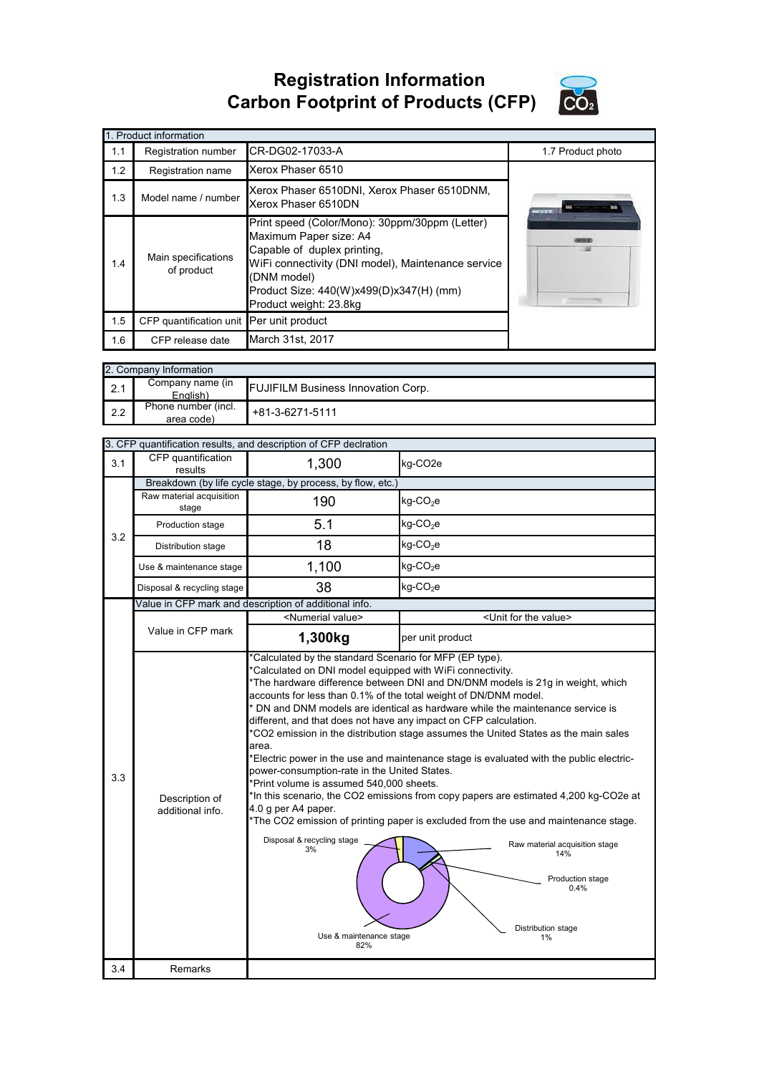**Registration Information Carbon Footprint of Products (CFP)**



|     | 1. Product information                   |                                                                                                                                                                                                                                                   |                   |  |  |  |
|-----|------------------------------------------|---------------------------------------------------------------------------------------------------------------------------------------------------------------------------------------------------------------------------------------------------|-------------------|--|--|--|
| 1.1 | Registration number                      | CR-DG02-17033-A                                                                                                                                                                                                                                   | 1.7 Product photo |  |  |  |
| 1.2 | Registration name                        | Xerox Phaser 6510                                                                                                                                                                                                                                 |                   |  |  |  |
| 1.3 | Model name / number                      | Xerox Phaser 6510DNI, Xerox Phaser 6510DNM,<br>Xerox Phaser 6510DN                                                                                                                                                                                | an ann            |  |  |  |
| 1.4 | Main specifications<br>of product        | Print speed (Color/Mono): 30ppm/30ppm (Letter)<br>Maximum Paper size: A4<br>Capable of duplex printing,<br>WiFi connectivity (DNI model), Maintenance service<br>(DNM model)<br>Product Size: 440(W)x499(D)x347(H) (mm)<br>Product weight: 23.8kg |                   |  |  |  |
| 1.5 | CFP quantification unit Per unit product |                                                                                                                                                                                                                                                   |                   |  |  |  |
| 1.6 | CFP release date                         | March 31st, 2017                                                                                                                                                                                                                                  |                   |  |  |  |

|     | 2. Company Information            |                                           |  |  |  |
|-----|-----------------------------------|-------------------------------------------|--|--|--|
| 2.1 | Company name (in<br>English)      | <b>FUJIFILM Business Innovation Corp.</b> |  |  |  |
| 2.2 | Phone number (incl.<br>area code) | +81-3-6271-5111                           |  |  |  |

|     |                                                       | 3. CFP quantification results, and description of CFP declration                                                                                                                                                                                                                                                                                                                                                                                        |                                                                                                                                                                                                                                                                                                                                                                                                                                                                                                                                                                                                                              |  |
|-----|-------------------------------------------------------|---------------------------------------------------------------------------------------------------------------------------------------------------------------------------------------------------------------------------------------------------------------------------------------------------------------------------------------------------------------------------------------------------------------------------------------------------------|------------------------------------------------------------------------------------------------------------------------------------------------------------------------------------------------------------------------------------------------------------------------------------------------------------------------------------------------------------------------------------------------------------------------------------------------------------------------------------------------------------------------------------------------------------------------------------------------------------------------------|--|
| 3.1 | CFP quantification<br>results                         | 1,300                                                                                                                                                                                                                                                                                                                                                                                                                                                   | kg-CO2e                                                                                                                                                                                                                                                                                                                                                                                                                                                                                                                                                                                                                      |  |
|     |                                                       | Breakdown (by life cycle stage, by process, by flow, etc.)                                                                                                                                                                                                                                                                                                                                                                                              |                                                                                                                                                                                                                                                                                                                                                                                                                                                                                                                                                                                                                              |  |
|     | Raw material acquisition<br>stage                     | 190                                                                                                                                                                                                                                                                                                                                                                                                                                                     | kg-CO <sub>2</sub> e                                                                                                                                                                                                                                                                                                                                                                                                                                                                                                                                                                                                         |  |
| 3.2 | Production stage                                      | 5.1                                                                                                                                                                                                                                                                                                                                                                                                                                                     | $kg$ -CO <sub>2</sub> e                                                                                                                                                                                                                                                                                                                                                                                                                                                                                                                                                                                                      |  |
|     | Distribution stage                                    | 18                                                                                                                                                                                                                                                                                                                                                                                                                                                      | $kg$ -CO <sub>2</sub> e                                                                                                                                                                                                                                                                                                                                                                                                                                                                                                                                                                                                      |  |
|     | Use & maintenance stage                               | 1,100                                                                                                                                                                                                                                                                                                                                                                                                                                                   | $kg$ -CO <sub>2</sub> e                                                                                                                                                                                                                                                                                                                                                                                                                                                                                                                                                                                                      |  |
|     | Disposal & recycling stage                            | 38                                                                                                                                                                                                                                                                                                                                                                                                                                                      | kg-CO <sub>2</sub> e                                                                                                                                                                                                                                                                                                                                                                                                                                                                                                                                                                                                         |  |
|     | Value in CFP mark and description of additional info. |                                                                                                                                                                                                                                                                                                                                                                                                                                                         |                                                                                                                                                                                                                                                                                                                                                                                                                                                                                                                                                                                                                              |  |
|     |                                                       | <numerial value=""></numerial>                                                                                                                                                                                                                                                                                                                                                                                                                          | <unit for="" the="" value=""></unit>                                                                                                                                                                                                                                                                                                                                                                                                                                                                                                                                                                                         |  |
|     | Value in CFP mark                                     | 1,300kg                                                                                                                                                                                                                                                                                                                                                                                                                                                 | per unit product                                                                                                                                                                                                                                                                                                                                                                                                                                                                                                                                                                                                             |  |
| 3.3 | Description of<br>additional info.                    | *Calculated by the standard Scenario for MFP (EP type).<br>*Calculated on DNI model equipped with WiFi connectivity.<br>accounts for less than 0.1% of the total weight of DN/DNM model.<br>different, and that does not have any impact on CFP calculation.<br>area.<br>power-consumption-rate in the United States.<br>*Print volume is assumed 540,000 sheets.<br>4.0 g per A4 paper.<br>Disposal & recycling stage<br>3%<br>Use & maintenance stage | *The hardware difference between DNI and DN/DNM models is 21g in weight, which<br>* DN and DNM models are identical as hardware while the maintenance service is<br>*CO2 emission in the distribution stage assumes the United States as the main sales<br>*Electric power in the use and maintenance stage is evaluated with the public electric-<br>*In this scenario, the CO2 emissions from copy papers are estimated 4,200 kg-CO2e at<br>*The CO2 emission of printing paper is excluded from the use and maintenance stage.<br>Raw material acquisition stage<br>14%<br>Production stage<br>0.4%<br>Distribution stage |  |
|     |                                                       | 82%                                                                                                                                                                                                                                                                                                                                                                                                                                                     |                                                                                                                                                                                                                                                                                                                                                                                                                                                                                                                                                                                                                              |  |
| 3.4 | Remarks                                               |                                                                                                                                                                                                                                                                                                                                                                                                                                                         |                                                                                                                                                                                                                                                                                                                                                                                                                                                                                                                                                                                                                              |  |